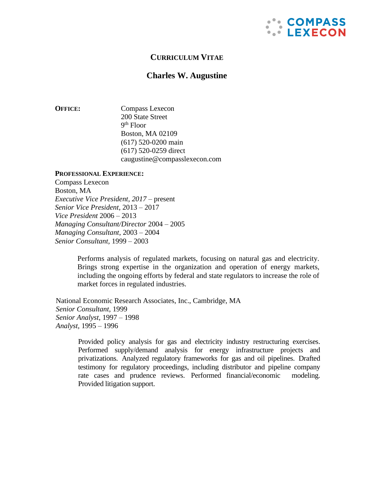

# **CURRICULUM VITAE**

# **Charles W. Augustine**

**OFFICE:** Compass Lexecon 200 State Street 9 th Floor Boston, MA 02109 (617) 520-0200 main (617) 520-0259 direc[t](mailto:caugustine@compasslexecon.com) [caugustine@compasslexecon.com](mailto:caugustine@compasslexecon.com)

#### **PROFESSIONAL EXPERIENCE:**

Compass Lexecon Boston, MA *Executive Vice President, 2017 –* present *Senior Vice President*, 2013 – 2017 *Vice President* 2006 – 2013 *Managing Consultant/Director* 2004 – 2005 *Managing Consultant*, 2003 – 2004 *Senior Consultant,* 1999 – 2003

> Performs analysis of regulated markets, focusing on natural gas and electricity. Brings strong expertise in the organization and operation of energy markets, including the ongoing efforts by federal and state regulators to increase the role of market forces in regulated industries.

National Economic Research Associates, Inc., Cambridge, MA *Senior Consultant,* 1999 *Senior Analyst*, 1997 – 1998 *Analyst*, 1995 – 1996

> Provided policy analysis for gas and electricity industry restructuring exercises. Performed supply/demand analysis for energy infrastructure projects and privatizations. Analyzed regulatory frameworks for gas and oil pipelines. Drafted testimony for regulatory proceedings, including distributor and pipeline company rate cases and prudence reviews. Performed financial/economic modeling. Provided litigation support.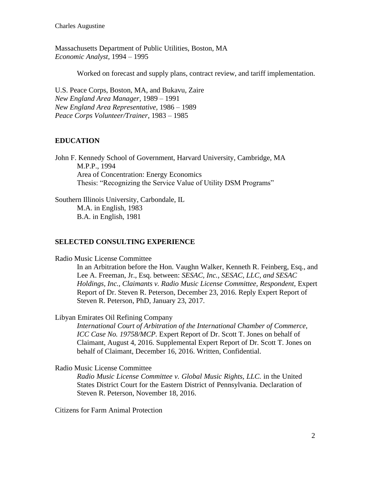Charles Augustine

Massachusetts Department of Public Utilities, Boston, MA *Economic Analyst,* 1994 – 1995

Worked on forecast and supply plans, contract review, and tariff implementation.

U.S. Peace Corps, Boston, MA, and Bukavu, Zaire *New England Area Manager,* 1989 – 1991 *New England Area Representative,* 1986 – 1989 *Peace Corps Volunteer/Trainer*, 1983 – 1985

# **EDUCATION**

John F. Kennedy School of Government, Harvard University, Cambridge, MA M.P.P., 1994 Area of Concentration: Energy Economics Thesis: "Recognizing the Service Value of Utility DSM Programs"

Southern Illinois University, Carbondale, IL M.A. in English, 1983 B.A. in English, 1981

# **SELECTED CONSULTING EXPERIENCE**

Radio Music License Committee

In an Arbitration before the Hon. Vaughn Walker, Kenneth R. Feinberg, Esq., and Lee A. Freeman, Jr., Esq. between: *SESAC, Inc., SESAC, LLC, and SESAC Holdings, Inc., Claimants v. Radio Music License Committee, Respondent,* Expert Report of Dr. Steven R. Peterson, December 23, 2016. Reply Expert Report of Steven R. Peterson, PhD, January 23, 2017.

Libyan Emirates Oil Refining Company

*International Court of Arbitration of the International Chamber of Commerce, ICC Case No. 19758/MCP.* Expert Report of Dr. Scott T. Jones on behalf of Claimant, August 4, 2016. Supplemental Expert Report of Dr. Scott T. Jones on behalf of Claimant, December 16, 2016. Written, Confidential.

Radio Music License Committee

*Radio Music License Committee v. Global Music Rights, LLC.* in the United States District Court for the Eastern District of Pennsylvania. Declaration of Steven R. Peterson, November 18, 2016.

Citizens for Farm Animal Protection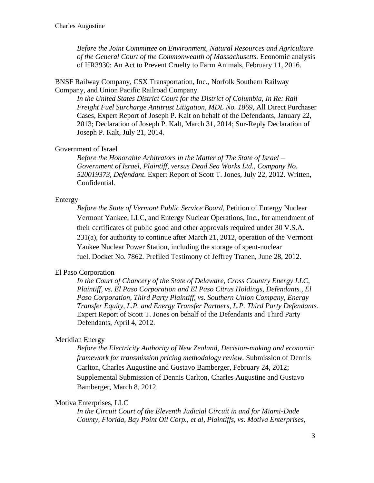*Before the Joint Committee on Environment, Natural Resources and Agriculture of the General Court of the Commonwealth of Massachusetts.* Economic analysis of HR3930: An Act to Prevent Cruelty to Farm Animals, February 11, 2016.

BNSF Railway Company, CSX Transportation, Inc., Norfolk Southern Railway Company, and Union Pacific Railroad Company

*In the United States District Court for the District of Columbia, In Re: Rail Freight Fuel Surcharge Antitrust Litigation, MDL No. 1869,* All Direct Purchaser Cases, Expert Report of Joseph P. Kalt on behalf of the Defendants, January 22, 2013; Declaration of Joseph P. Kalt, March 31, 2014; Sur-Reply Declaration of Joseph P. Kalt, July 21, 2014.

## Government of Israel

*Before the Honorable Arbitrators in the Matter of The State of Israel – Government of Israel, Plaintiff, versus Dead Sea Works Ltd., Company No. 520019373, Defendant*. Expert Report of Scott T. Jones, July 22, 2012. Written, Confidential.

#### Entergy

*Before the State of Vermont Public Service Board,* Petition of Entergy Nuclear Vermont Yankee, LLC, and Entergy Nuclear Operations, Inc., for amendment of their certificates of public good and other approvals required under 30 V.S.A. 231(a), for authority to continue after March 21, 2012, operation of the Vermont Yankee Nuclear Power Station, including the storage of spent-nuclear fuel. Docket No. 7862. Prefiled Testimony of Jeffrey Tranen, June 28, 2012.

#### El Paso Corporation

*In the Court of Chancery of the State of Delaware, Cross Country Energy LLC, Plaintiff, vs. El Paso Corporation and El Paso Citrus Holdings, Defendants., El Paso Corporation, Third Party Plaintiff, vs. Southern Union Company, Energy Transfer Equity, L.P. and Energy Transfer Partners, L.P. Third Party Defendants.*  Expert Report of Scott T. Jones on behalf of the Defendants and Third Party Defendants, April 4, 2012.

### Meridian Energy

*Before the Electricity Authority of New Zealand, Decision-making and economic framework for transmission pricing methodology review.* Submission of Dennis Carlton, Charles Augustine and Gustavo Bamberger, February 24, 2012; Supplemental Submission of Dennis Carlton, Charles Augustine and Gustavo Bamberger, March 8, 2012.

### Motiva Enterprises, LLC

*In the Circuit Court of the Eleventh Judicial Circuit in and for Miami-Dade County, Florida, Bay Point Oil Corp., et al, Plaintiffs, vs. Motiva Enterprises,*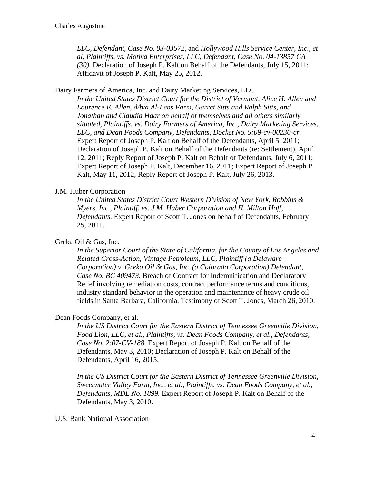*LLC, Defendant, Case No. 03-03572,* and *Hollywood Hills Service Center, Inc., et al, Plaintiffs, vs. Motiva Enterprises, LLC, Defendant, Case No. 04-13857 CA (30).* Declaration of Joseph P. Kalt on Behalf of the Defendants, July 15, 2011; Affidavit of Joseph P. Kalt, May 25, 2012.

Dairy Farmers of America, Inc. and Dairy Marketing Services, LLC

*In the United States District Court for the District of Vermont, Alice H. Allen and Laurence E. Allen, d/b/a Al-Lens Farm, Garret Sitts and Ralph Sitts, and Jonathan and Claudia Haar on behalf of themselves and all others similarly situated, Plaintiffs, vs. Dairy Farmers of America, Inc., Dairy Marketing Services, LLC, and Dean Foods Company, Defendants*, *Docket No. 5:09-cv-00230-cr.* Expert Report of Joseph P. Kalt on Behalf of the Defendants, April 5, 2011; Declaration of Joseph P. Kalt on Behalf of the Defendants (re: Settlement), April 12, 2011; Reply Report of Joseph P. Kalt on Behalf of Defendants, July 6, 2011; Expert Report of Joseph P. Kalt, December 16, 2011; Expert Report of Joseph P. Kalt, May 11, 2012; Reply Report of Joseph P. Kalt, July 26, 2013.

### J.M. Huber Corporation

*In the United States District Court Western Division of New York, Robbins & Myers, Inc., Plaintiff, vs. J.M. Huber Corporation and H. Milton Hoff, Defendants.* Expert Report of Scott T. Jones on behalf of Defendants, February 25, 2011.

# Greka Oil & Gas, Inc.

*In the Superior Court of the State of California, for the County of Los Angeles and Related Cross-Action, Vintage Petroleum, LLC, Plaintiff (a Delaware Corporation) v. Greka Oil & Gas, Inc. (a Colorado Corporation) Defendant, Case No. BC 409473.* Breach of Contract for Indemnification and Declaratory Relief involving remediation costs, contract performance terms and conditions, industry standard behavior in the operation and maintenance of heavy crude oil fields in Santa Barbara, California. Testimony of Scott T. Jones, March 26, 2010.

#### Dean Foods Company, et al.

*In the US District Court for the Eastern District of Tennessee Greenville Division, Food Lion, LLC, et al., Plaintiffs, vs. Dean Foods Company, et al., Defendants, Case No. 2:07-CV-188.* Expert Report of Joseph P. Kalt on Behalf of the Defendants, May 3, 2010; Declaration of Joseph P. Kalt on Behalf of the Defendants, April 16, 2015.

*In the US District Court for the Eastern District of Tennessee Greenville Division, Sweetwater Valley Farm, Inc., et al., Plaintiffs, vs. Dean Foods Company, et al., Defendants, MDL No. 1899.* Expert Report of Joseph P. Kalt on Behalf of the Defendants, May 3, 2010.

U.S. Bank National Association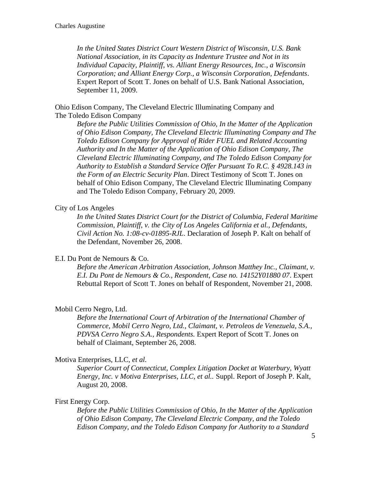*In the United States District Court Western District of Wisconsin, U.S. Bank National Association, in its Capacity as Indenture Trustee and Not in its Individual Capacity, Plaintiff, vs. Alliant Energy Resources, Inc., a Wisconsin Corporation; and Alliant Energy Corp., a Wisconsin Corporation, Defendants*. Expert Report of Scott T. Jones on behalf of U.S. Bank National Association, September 11, 2009.

Ohio Edison Company, The Cleveland Electric Illuminating Company and The Toledo Edison Company

*Before the Public Utilities Commission of Ohio, In the Matter of the Application of Ohio Edison Company, The Cleveland Electric Illuminating Company and The Toledo Edison Company for Approval of Rider FUEL and Related Accounting Authority and In the Matter of the Application of Ohio Edison Company, The Cleveland Electric Illuminating Company, and The Toledo Edison Company for Authority to Establish a Standard Service Offer Pursuant To R.C. § 4928.143 in the Form of an Electric Security Plan*. Direct Testimony of Scott T. Jones on behalf of Ohio Edison Company, The Cleveland Electric Illuminating Company and The Toledo Edison Company, February 20, 2009.

# City of Los Angeles

*In the United States District Court for the District of Columbia, Federal Maritime Commission, Plaintiff, v. the City of Los Angeles California et al., Defendants, Civil Action No. 1:08-cv-01895-RJL*. Declaration of Joseph P. Kalt on behalf of the Defendant, November 26, 2008.

# E.I. Du Pont de Nemours & Co.

*Before the American Arbitration Association, Johnson Matthey Inc., Claimant, v. E.I. Du Pont de Nemours & Co., Respondent, Case no. 14152Y01880 07*. Expert Rebuttal Report of Scott T. Jones on behalf of Respondent, November 21, 2008.

# Mobil Cerro Negro, Ltd.

*Before the International Court of Arbitration of the International Chamber of Commerce, Mobil Cerro Negro, Ltd., Claimant, v. Petroleos de Venezuela, S.A., PDVSA Cerro Negro S.A., Respondents.* Expert Report of Scott T. Jones on behalf of Claimant, September 26, 2008.

# Motiva Enterprises, LLC, *et al.*

*Superior Court of Connecticut, Complex Litigation Docket at Waterbury, Wyatt Energy, Inc. v Motiva Enterprises, LLC, et al..* Suppl. Report of Joseph P. Kalt, August 20, 2008.

# First Energy Corp.

*Before the Public Utilities Commission of Ohio, In the Matter of the Application of Ohio Edison Company, The Cleveland Electric Company, and the Toledo Edison Company, and the Toledo Edison Company for Authority to a Standard*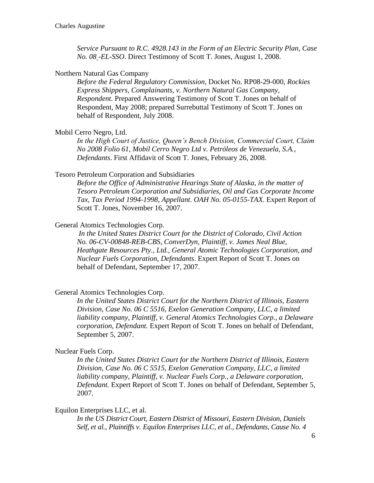*Service Pursuant to R.C. 4928.143 in the Form of an Electric Security Plan, Case No. 08 -EL-SSO*. Direct Testimony of Scott T. Jones, August 1, 2008.

#### Northern Natural Gas Company

*Before the Federal Regulatory Commission*, Docket No. RP08-29-000, *Rockies Express Shippers, Complainants, v. Northern Natural Gas Company, Respondent.* Prepared Answering Testimony of Scott T. Jones on behalf of Respondent, May 2008; prepared Surrebuttal Testimony of Scott T. Jones on behalf of Respondent, July 2008.

#### Mobil Cerro Negro, Ltd.

*In the High Court of Justice, Queen's Bench Division, Commercial Court, Claim No 2008 Folio 61, Mobil Cerro Negro Ltd v. Petróleos de Venezuela, S.A., Defendants*. First Affidavit of Scott T. Jones, February 26, 2008.

#### Tesoro Petroleum Corporation and Subsidiaries

*Before the Office of Administrative Hearings State of Alaska*, *in the matter of Tesoro Petroleum Corporation and Subsidiaries, Oil and Gas Corporate Income Tax, Tax Period 1994-1998, Appellant. OAH No. 05-0155-TAX*. Expert Report of Scott T. Jones, November 16, 2007.

## General Atomics Technologies Corp.

*In the United States District Court for the District of Colorado, Civil Action No. 06-CV-00848-REB-CBS, ConverDyn, Plaintiff, v. James Neal Blue, Heathgate Resources Pty., Ltd., General Atomic Technologies Corporation, and Nuclear Fuels Corporation, Defendants*. Expert Report of Scott T. Jones on behalf of Defendant, September 17, 2007.

### General Atomics Technologies Corp.

*In the United States District Court for the Northern District of Illinois, Eastern Division*, *Case No. 06 C 5516, Exelon Generation Company, LLC, a limited liability company, Plaintiff, v. General Atomics Technologies Corp., a Delaware corporation, Defendant.* Expert Report of Scott T. Jones on behalf of Defendant, September 5, 2007.

#### Nuclear Fuels Corp.

*In the United States District Court for the Northern District of Illinois, Eastern Division*, *Case No. 06 C 5515, Exelon Generation Company, LLC, a limited liability company, Plaintiff, v. Nuclear Fuels Corp., a Delaware corporation, Defendant.* Expert Report of Scott T. Jones on behalf of Defendant, September 5, 2007.

# Equilon Enterprises LLC, et al.

*In the US District Court, Eastern District of Missouri, Eastern Division, Daniels Self, et al., Plaintiffs v. Equilon Enterprises LLC, et al., Defendants, Cause No. 4*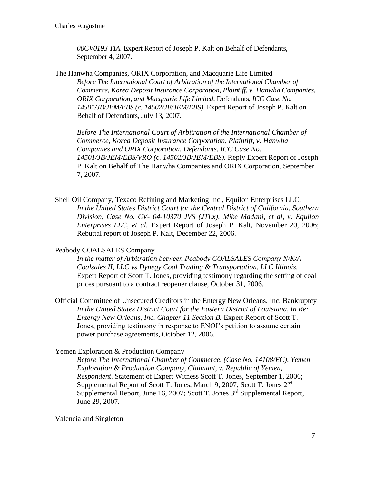*00CV0193 TIA.* Expert Report of Joseph P. Kalt on Behalf of Defendants, September 4, 2007.

The Hanwha Companies, ORIX Corporation, and Macquarie Life Limited *Before The International Court of Arbitration of the International Chamber of Commerce, Korea Deposit Insurance Corporation, Plaintiff, v. Hanwha Companies, ORIX Corporation, and Macquarie Life Limited,* Defendants*, ICC Case No. 14501/JB/JEM/EBS (c. 14502/JB/JEM/EBS).* Expert Report of Joseph P. Kalt on Behalf of Defendants, July 13, 2007.

*Before The International Court of Arbitration of the International Chamber of Commerce, Korea Deposit Insurance Corporation, Plaintiff, v. Hanwha Companies and ORIX Corporation, Defendants, ICC Case No. 14501/JB/JEM/EBS/VRO (c. 14502/JB/JEM/EBS).* Reply Expert Report of Joseph P. Kalt on Behalf of The Hanwha Companies and ORIX Corporation, September 7, 2007.

Shell Oil Company, Texaco Refining and Marketing Inc., Equilon Enterprises LLC. *In the United States District Court for the Central District of California, Southern Division, Case No. CV- 04-10370 JVS (JTLx), Mike Madani, et al, v. Equilon Enterprises LLC, et al.* Expert Report of Joseph P. Kalt, November 20, 2006; Rebuttal report of Joseph P. Kalt, December 22, 2006.

#### Peabody COALSALES Company

*In the matter of Arbitration between Peabody COALSALES Company N/K/A Coalsales II, LLC vs Dynegy Coal Trading & Transportation, LLC Illinois.*  Expert Report of Scott T. Jones, providing testimony regarding the setting of coal prices pursuant to a contract reopener clause, October 31, 2006.

Official Committee of Unsecured Creditors in the Entergy New Orleans, Inc. Bankruptcy *In the United States District Court for the Eastern District of Louisiana, In Re: Entergy New Orleans, Inc. Chapter 11 Section B. Expert Report of Scott T.* Jones, providing testimony in response to ENOI's petition to assume certain power purchase agreements, October 12, 2006.

#### Yemen Exploration & Production Company

*Before The International Chamber of Commerce, (Case No. 14108/EC), Yemen Exploration & Production Company, Claimant, v. Republic of Yemen, Respondent*. Statement of Expert Witness Scott T. Jones, September 1, 2006; Supplemental Report of Scott T. Jones, March 9, 2007; Scott T. Jones 2nd Supplemental Report, June 16, 2007; Scott T. Jones  $3<sup>rd</sup>$  Supplemental Report, June 29, 2007.

Valencia and Singleton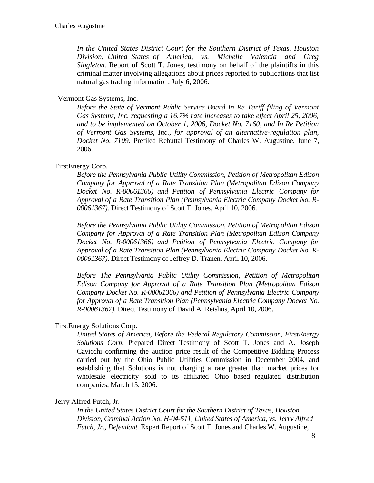*In the United States District Court for the Southern District of Texas, Houston Division, United States of America, vs. Michelle Valencia and Greg Singleton.* Report of Scott T. Jones, testimony on behalf of the plaintiffs in this criminal matter involving allegations about prices reported to publications that list natural gas trading information*,* July 6, 2006.

# Vermont Gas Systems, Inc.

*Before the State of Vermont Public Service Board In Re Tariff filing of Vermont Gas Systems, Inc. requesting a 16.7% rate increases to take effect April 25, 2006, and to be implemented on October 1, 2006, Docket No. 7160, and In Re Petition of Vermont Gas Systems, Inc., for approval of an alternative-regulation plan, Docket No. 7109.* Prefiled Rebuttal Testimony of Charles W. Augustine, June 7, 2006.

# FirstEnergy Corp.

*Before the Pennsylvania Public Utility Commission, Petition of Metropolitan Edison Company for Approval of a Rate Transition Plan (Metropolitan Edison Company Docket No. R-00061366) and Petition of Pennsylvania Electric Company for Approval of a Rate Transition Plan (Pennsylvania Electric Company Docket No. R-00061367).* Direct Testimony of Scott T. Jones, April 10, 2006.

*Before the Pennsylvania Public Utility Commission, Petition of Metropolitan Edison Company for Approval of a Rate Transition Plan (Metropolitan Edison Company Docket No. R-00061366) and Petition of Pennsylvania Electric Company for Approval of a Rate Transition Plan (Pennsylvania Electric Company Docket No. R-00061367)*. Direct Testimony of Jeffrey D. Tranen, April 10, 2006.

*Before The Pennsylvania Public Utility Commission, Petition of Metropolitan Edison Company for Approval of a Rate Transition Plan (Metropolitan Edison Company Docket No. R-00061366) and Petition of Pennsylvania Electric Company for Approval of a Rate Transition Plan (Pennsylvania Electric Company Docket No. R-00061367).* Direct Testimony of David A. Reishus, April 10, 2006.

# FirstEnergy Solutions Corp.

*United States of America, Before the Federal Regulatory Commission, FirstEnergy Solutions Corp.* Prepared Direct Testimony of Scott T. Jones and A. Joseph Cavicchi confirming the auction price result of the Competitive Bidding Process carried out by the Ohio Public Utilities Commission in December 2004, and establishing that Solutions is not charging a rate greater than market prices for wholesale electricity sold to its affiliated Ohio based regulated distribution companies, March 15, 2006.

# Jerry Alfred Futch, Jr.

*In the United States District Court for the Southern District of Texas, Houston Division, Criminal Action No. H-04-511, United States of America, vs. Jerry Alfred Futch, Jr., Defendant.* Expert Report of Scott T. Jones and Charles W. Augustine,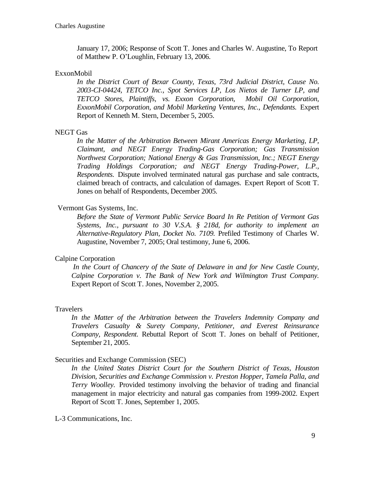January 17, 2006; Response of Scott T. Jones and Charles W. Augustine, To Report of Matthew P. O'Loughlin, February 13, 2006.

## ExxonMobil

*In the District Court of Bexar County, Texas, 73rd Judicial District, Cause No. 2003-CI-04424, TETCO Inc., Spot Services LP, Los Nietos de Turner LP, and TETCO Stores, Plaintiffs, vs. Exxon Corporation, Mobil Oil Corporation, ExxonMobil Corporation, and Mobil Marketing Ventures, Inc., Defendants.* Expert Report of Kenneth M. Stern, December 5, 2005.

## NEGT Gas

*In the Matter of the Arbitration Between Mirant Americas Energy Marketing, LP, Claimant, and NEGT Energy Trading-Gas Corporation; Gas Transmission Northwest Corporation; National Energy & Gas Transmission, Inc.; NEGT Energy Trading Holdings Corporation; and NEGT Energy Trading-Power, L.P., Respondents.* Dispute involved terminated natural gas purchase and sale contracts, claimed breach of contracts, and calculation of damages. Expert Report of Scott T. Jones on behalf of Respondents, December 2005.

# Vermont Gas Systems, Inc.

*Before the State of Vermont Public Service Board In Re Petition of Vermont Gas Systems, Inc., pursuant to 30 V.S.A. § 218d, for authority to implement an Alternative-Regulatory Plan, Docket No. 7109.* Prefiled Testimony of Charles W. Augustine, November 7, 2005; Oral testimony, June 6, 2006.

# Calpine Corporation

*In the Court of Chancery of the State of Delaware in and for New Castle County, Calpine Corporation v. The Bank of New York and Wilmington Trust Company.*  Expert Report of Scott T. Jones, November 2,2005.

#### **Travelers**

*In the Matter of the Arbitration between the Travelers Indemnity Company and Travelers Casualty & Surety Company, Petitioner, and Everest Reinsurance Company, Respondent.* Rebuttal Report of Scott T. Jones on behalf of Petitioner, September 21, 2005.

#### Securities and Exchange Commission (SEC)

*In the United States District Court for the Southern District of Texas, Houston Division, Securities and Exchange Commission v. Preston Hopper, Tamela Palla, and Terry Woolley.* Provided testimony involving the behavior of trading and financial management in major electricity and natural gas companies from 1999-2002. Expert Report of Scott T. Jones, September 1, 2005.

L-3 Communications, Inc.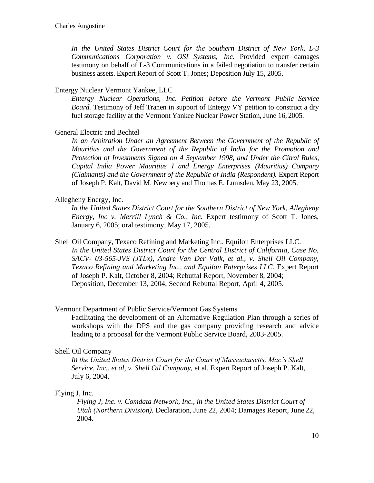*In the United States District Court for the Southern District of New York, L-3 Communications Corporation v. OSI Systems, Inc.* Provided expert damages testimony on behalf of L-3 Communications in a failed negotiation to transfer certain business assets. Expert Report of Scott T. Jones; Deposition July 15, 2005.

#### Entergy Nuclear Vermont Yankee, LLC

*Entergy Nuclear Operations, Inc. Petition before the Vermont Public Service Board.* Testimony of Jeff Tranen in support of Entergy VY petition to construct a dry fuel storage facility at the Vermont Yankee Nuclear Power Station, June 16, 2005.

#### General Electric and Bechtel

*In an Arbitration Under an Agreement Between the Government of the Republic of Mauritius and the Government of the Republic of India for the Promotion and Protection of Investments Signed on 4 September 1998, and Under the Citral Rules, Capital India Power Mauritius I and Energy Enterprises (Mauritius) Company (Claimants) and the Government of the Republic of India (Respondent).* Expert Report of Joseph P. Kalt, David M. Newbery and Thomas E. Lumsden, May 23, 2005.

### Allegheny Energy, Inc.

*In the United States District Court for the Southern District of New York, Allegheny Energy, Inc v. Merrill Lynch & Co., Inc. Expert testimony of Scott T. Jones,* January 6, 2005; oral testimony, May 17, 2005.

Shell Oil Company, Texaco Refining and Marketing Inc., Equilon Enterprises LLC. *In the United States District Court for the Central District of California, Case No. SACV- 03-565-JVS (JTLx), Andre Van Der Valk, et al., v. Shell Oil Company, Texaco Refining and Marketing Inc., and Equilon Enterprises LLC.* Expert Report of Joseph P. Kalt, October 8, 2004; Rebuttal Report, November 8, 2004; Deposition, December 13, 2004; Second Rebuttal Report, April 4, 2005.

#### Vermont Department of Public Service/Vermont Gas Systems

Facilitating the development of an Alternative Regulation Plan through a series of workshops with the DPS and the gas company providing research and advice leading to a proposal for the Vermont Public Service Board, 2003-2005.

#### Shell Oil Company

*In the United States District Court for the Court of Massachusetts, Mac's Shell Service, Inc., et al, v. Shell Oil Company,* et al. Expert Report of Joseph P. Kalt, July 6, 2004.

#### Flying J, Inc.

*Flying J, Inc. v. Comdata Network, Inc., in the United States District Court of Utah (Northern Division).* Declaration, June 22, 2004; Damages Report, June 22, 2004.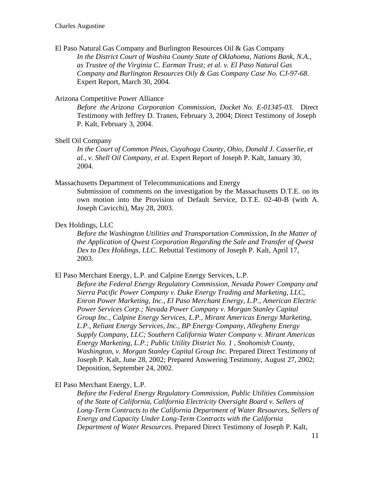El Paso Natural Gas Company and Burlington Resources Oil & Gas Company *In the District Court of Washita County State of Oklahoma, Nations Bank, N.A., as Trustee of the Virginia C. Earman Trust; et al. v. El Paso Natural Gas Company and Burlington Resources Oily & Gas Company Case No. CJ-97-68*. Expert Report, March 30, 2004.

### Arizona Competitive Power Alliance

*Before the Arizona Corporation Commission, Docket No. E-01345-03.* Direct Testimony with Jeffrey D. Tranen, February 3, 2004; Direct Testimony of Joseph P. Kalt, February 3, 2004.

#### Shell Oil Company

*In the Court of Common Pleas, Cuyahoga County, Ohio, Donald J. Casserlie, et al.*, *v. Shell Oil Company, et al.* Expert Report of Joseph P. Kalt, January 30, 2004.

#### Massachusetts Department of Telecommunications and Energy

Submission of comments on the investigation by the Massachusetts D.T.E. on its own motion into the Provision of Default Service, D.T.E. 02-40-B (with A. Joseph Cavicchi), May 28, 2003.

### Dex Holdings, LLC

*Before the Washington Utilities and Transportation Commission, In the Matter of the Application of Qwest Corporation Regarding the Sale and Transfer of Qwest Dex to Dex Holdings, LLC.* Rebuttal Testimony of Joseph P. Kalt, April 17, 2003.

El Paso Merchant Energy, L.P. and Calpine Energy Services, L.P.

*Before the Federal Energy Regulatory Commission, Nevada Power Company and Sierra Pacific Power Company v. Duke Energy Trading and Marketing, LLC, Enron Power Marketing, Inc., El Paso Merchant Energy, L.P., American Electric Power Services Corp.; Nevada Power Company v. Morgan Stanley Capital Group Inc., Calpine Energy Services, L.P., Mirant Americas Energy Marketing, L.P., Reliant Energy Services, Inc., BP Energy Company, Allegheny Energy Supply Company, LLC; Southern California Water Company v. Mirant Americas Energy Marketing, L.P.; Public Utility District No. 1 , Snohomish County, Washington, v. Morgan Stanley Capital Group Inc.* Prepared Direct Testimony of Joseph P. Kalt, June 28, 2002; Prepared Answering Testimony, August 27, 2002; Deposition, September 24, 2002.

El Paso Merchant Energy, L.P.

*Before the Federal Energy Regulatory Commission, Public Utilities Commission of the State of California, California Electricity Oversight Board v. Sellers of Long-Term Contracts to the California Department of Water Resources, Sellers of Energy and Capacity Under Long-Term Contracts with the California Department of Water Resources.* Prepared Direct Testimony of Joseph P. Kalt,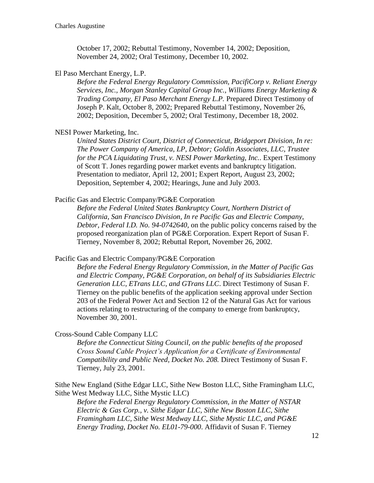October 17, 2002; Rebuttal Testimony, November 14, 2002; Deposition, November 24, 2002; Oral Testimony, December 10, 2002.

#### El Paso Merchant Energy, L.P.

*Before the Federal Energy Regulatory Commission, PacifiCorp v. Reliant Energy Services, Inc., Morgan Stanley Capital Group Inc., Williams Energy Marketing & Trading Company, El Paso Merchant Energy L.P.* Prepared Direct Testimony of Joseph P. Kalt, October 8, 2002; Prepared Rebuttal Testimony, November 26, 2002; Deposition, December 5, 2002; Oral Testimony, December 18, 2002.

### NESI Power Marketing, Inc.

*United States District Court, District of Connecticut, Bridgeport Division, In re: The Power Company of America, LP, Debtor; Goldin Associates, LLC, Trustee for the PCA Liquidating Trust, v. NESI Power Marketing, Inc.*. Expert Testimony of Scott T. Jones regarding power market events and bankruptcy litigation. Presentation to mediator, April 12, 2001; Expert Report, August 23, 2002; Deposition, September 4, 2002; Hearings, June and July 2003.

#### Pacific Gas and Electric Company/PG&E Corporation

*Before the Federal United States Bankruptcy Court, Northern District of California, San Francisco Division, In re Pacific Gas and Electric Company, Debtor, Federal I.D. No. 94-0742640*, on the public policy concerns raised by the proposed reorganization plan of PG&E Corporation. Expert Report of Susan F. Tierney, November 8, 2002; Rebuttal Report, November 26, 2002.

Pacific Gas and Electric Company/PG&E Corporation

*Before the Federal Energy Regulatory Commission, in the Matter of Pacific Gas and Electric Company, PG&E Corporation, on behalf of its Subsidiaries Electric Generation LLC, ETrans LLC, and GTrans LLC*. Direct Testimony of Susan F. Tierney on the public benefits of the application seeking approval under Section 203 of the Federal Power Act and Section 12 of the Natural Gas Act for various actions relating to restructuring of the company to emerge from bankruptcy, November 30, 2001.

Cross-Sound Cable Company LLC

*Before the Connecticut Siting Council, on the public benefits of the proposed Cross Sound Cable Project's Application for a Certificate of Environmental Compatibility and Public Need, Docket No. 208.* Direct Testimony of Susan F. Tierney, July 23, 2001.

Sithe New England (Sithe Edgar LLC, Sithe New Boston LLC, Sithe Framingham LLC, Sithe West Medway LLC, Sithe Mystic LLC)

*Before the Federal Energy Regulatory Commission, in the Matter of NSTAR Electric & Gas Corp., v. Sithe Edgar LLC, Sithe New Boston LLC, Sithe Framingham LLC, Sithe West Medway LLC, Sithe Mystic LLC, and PG&E Energy Trading, Docket No. EL01-79-000*. Affidavit of Susan F. Tierney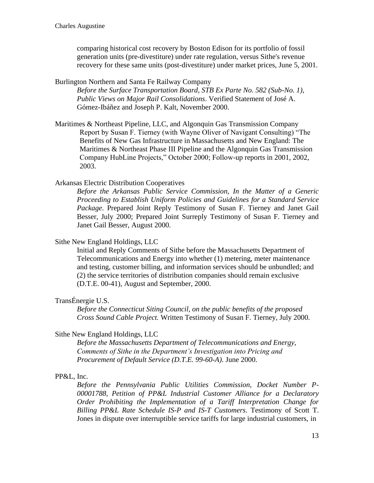comparing historical cost recovery by Boston Edison for its portfolio of fossil generation units (pre-divestiture) under rate regulation, versus Sithe's revenue recovery for these same units (post-divestiture) under market prices, June 5, 2001.

Burlington Northern and Santa Fe Railway Company

*Before the Surface Transportation Board, STB Ex Parte No. 582 (Sub-No. 1), Public Views on Major Rail Consolidations*. Verified Statement of José A. Gómez-Ibáñez and Joseph P. Kalt, November 2000.

Maritimes & Northeast Pipeline, LLC, and Algonquin Gas Transmission Company Report by Susan F. Tierney (with Wayne Oliver of Navigant Consulting) "The Benefits of New Gas Infrastructure in Massachusetts and New England: The Maritimes & Northeast Phase III Pipeline and the Algonquin Gas Transmission Company HubLine Projects," October 2000; Follow-up reports in 2001, 2002, 2003.

## Arkansas Electric Distribution Cooperatives

*Before the Arkansas Public Service Commission, In the Matter of a Generic Proceeding to Establish Uniform Policies and Guidelines for a Standard Service Package*. Prepared Joint Reply Testimony of Susan F. Tierney and Janet Gail Besser, July 2000; Prepared Joint Surreply Testimony of Susan F. Tierney and Janet Gail Besser, August 2000.

### Sithe New England Holdings, LLC

Initial and Reply Comments of Sithe before the Massachusetts Department of Telecommunications and Energy into whether (1) metering, meter maintenance and testing, customer billing, and information services should be unbundled; and (2) the service territories of distribution companies should remain exclusive (D.T.E. 00-41), August and September, 2000.

### TransÉnergie U.S.

*Before the Connecticut Siting Council, on the public benefits of the proposed Cross Sound Cable Project.* Written Testimony of Susan F. Tierney, July 2000.

### Sithe New England Holdings, LLC

*Before the Massachusetts Department of Telecommunications and Energy, Comments of Sithe in the Department's Investigation into Pricing and Procurement of Default Service (D.T.E. 99-60-A).* June 2000.

### PP&L, Inc.

*Before the Pennsylvania Public Utilities Commission, Docket Number P-00001788, Petition of PP&L Industrial Customer Alliance for a Declaratory Order Prohibiting the Implementation of a Tariff Interpretation Change for Billing PP&L Rate Schedule IS-P and IS-T Customers*. Testimony of Scott T. Jones in dispute over interruptible service tariffs for large industrial customers, in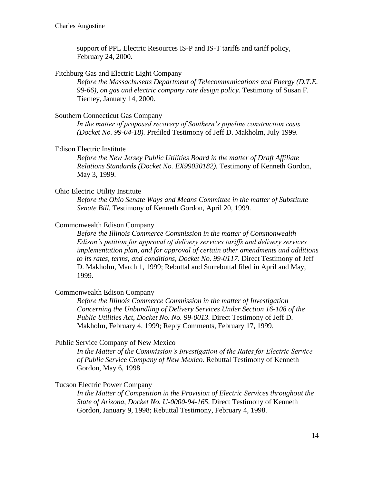support of PPL Electric Resources IS-P and IS-T tariffs and tariff policy, February 24, 2000.

#### Fitchburg Gas and Electric Light Company

*Before the Massachusetts Department of Telecommunications and Energy (D.T.E. 99-66), on gas and electric company rate design policy.* Testimony of Susan F. Tierney, January 14, 2000.

### Southern Connecticut Gas Company

*In the matter of proposed recovery of Southern's pipeline construction costs (Docket No. 99-04-18).* Prefiled Testimony of Jeff D. Makholm, July 1999.

# Edison Electric Institute

*Before the New Jersey Public Utilities Board in the matter of Draft Affiliate Relations Standards (Docket No. EX99030182).* Testimony of Kenneth Gordon, May 3, 1999.

### Ohio Electric Utility Institute

*Before the Ohio Senate Ways and Means Committee in the matter of Substitute Senate Bill.* Testimony of Kenneth Gordon, April 20, 1999.

## Commonwealth Edison Company

*Before the Illinois Commerce Commission in the matter of Commonwealth Edison's petition for approval of delivery services tariffs and delivery services implementation plan, and for approval of certain other amendments and additions to its rates, terms, and conditions, Docket No. 99-0117.* Direct Testimony of Jeff D. Makholm, March 1, 1999; Rebuttal and Surrebuttal filed in April and May, 1999.

### Commonwealth Edison Company

*Before the Illinois Commerce Commission in the matter of Investigation Concerning the Unbundling of Delivery Services Under Section 16-108 of the Public Utilities Act, Docket No. No. 99-0013.* Direct Testimony of Jeff D. Makholm, February 4, 1999; Reply Comments, February 17, 1999.

#### Public Service Company of New Mexico

*In the Matter of the Commission's Investigation of the Rates for Electric Service of Public Service Company of New Mexico.* Rebuttal Testimony of Kenneth Gordon, May 6, 1998

# Tucson Electric Power Company

*In the Matter of Competition in the Provision of Electric Services throughout the State of Arizona, Docket No. U-0000-94-165.* Direct Testimony of Kenneth Gordon, January 9, 1998; Rebuttal Testimony, February 4, 1998.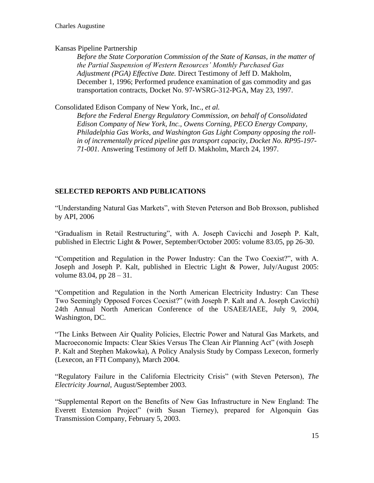# Kansas Pipeline Partnership

*Before the State Corporation Commission of the State of Kansas, in the matter of the Partial Suspension of Western Resources' Monthly Purchased Gas Adjustment (PGA) Effective Date.* Direct Testimony of Jeff D. Makholm, December 1, 1996; Performed prudence examination of gas commodity and gas transportation contracts, Docket No. 97-WSRG-312-PGA, May 23, 1997.

Consolidated Edison Company of New York, Inc., *et al.*

*Before the Federal Energy Regulatory Commission, on behalf of Consolidated Edison Company of New York, Inc., Owens Corning, PECO Energy Company, Philadelphia Gas Works, and Washington Gas Light Company opposing the rollin of incrementally priced pipeline gas transport capacity, Docket No. RP95-197- 71-001.* Answering Testimony of Jeff D. Makholm, March 24, 1997.

# **SELECTED REPORTS AND PUBLICATIONS**

"Understanding Natural Gas Markets", with Steven Peterson and Bob Broxson, published by API, 2006

"Gradualism in Retail Restructuring", with A. Joseph Cavicchi and Joseph P. Kalt, published in Electric Light & Power, September/October 2005: volume 83.05, pp 26-30.

"Competition and Regulation in the Power Industry: Can the Two Coexist?", with A. Joseph and Joseph P. Kalt, published in Electric Light & Power, July/August 2005: volume 83.04, pp 28 – 31.

"Competition and Regulation in the North American Electricity Industry: Can These Two Seemingly Opposed Forces Coexist?" (with Joseph P. Kalt and A. Joseph Cavicchi) 24th Annual North American Conference of the USAEE/IAEE, July 9, 2004, Washington, DC.

"The Links Between Air Quality Policies, Electric Power and Natural Gas Markets, and Macroeconomic Impacts: Clear Skies Versus The Clean Air Planning Act" (with Joseph P. Kalt and Stephen Makowka), A Policy Analysis Study by Compass Lexecon, formerly (Lexecon, an FTI Company), March 2004.

"Regulatory Failure in the California Electricity Crisis" (with Steven Peterson), *The Electricity Journal*, August/September 2003.

"Supplemental Report on the Benefits of New Gas Infrastructure in New England: The Everett Extension Project" (with Susan Tierney), prepared for Algonquin Gas Transmission Company, February 5, 2003.